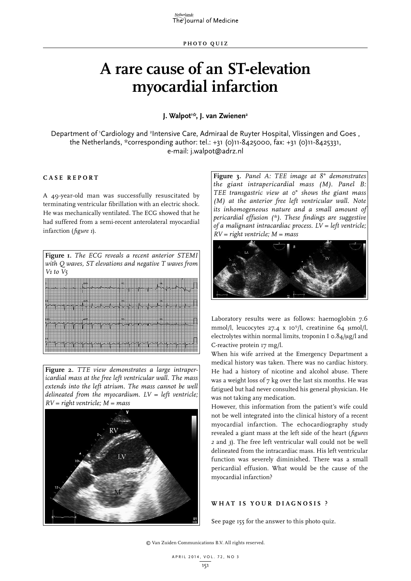# **A rare cause of an ST-elevation myocardial infarction**

**J. Walpot1 \*, J. van Zwienen2**

Department of 'Cardiology and <sup>2</sup>Intensive Care, Admiraal de Ruyter Hospital, Vlissingen and Goes, the Netherlands, \*corresponding author: tel.: +31 (0)11-8425000, fax: +31 (0)11-8425331, e-mail: j.walpot@adrz.nl

## **C ASE RE P ORT**

A 49-year-old man was successfully resuscitated by terminating ventricular fibrillation with an electric shock. He was mechanically ventilated. The ECG showed that he had suffered from a semi-recent anterolateral myocardial infarction (*figure 1*).

| Figure 1. The ECG reveals a recent anterior STEMI<br>with Q waves, ST elevations and negative T waves from<br>$V_1$ to $V_5$ |  |  |  |
|------------------------------------------------------------------------------------------------------------------------------|--|--|--|
| 五联县                                                                                                                          |  |  |  |
|                                                                                                                              |  |  |  |

**Figure 2.** *TTE view demonstrates a large intrapericardial mass at the free left ventricular wall. The mass extends into the left atrium. The mass cannot be well delineated from the myocardium. LV = left ventricle; RV = right ventricle; M = mass*



**Figure 3.** *Panel A: TEE image at 8° demonstrates the giant intrapericardial mass (M). Panel B: TEE transgastric view at 0° shows the giant mass (M) at the anterior free left ventricular wall. Note its inhomogeneous nature and a small amount of pericardial effusion (\*). These findings are suggestive of a malignant intracardiac process. LV = left ventricle; RV = right ventricle; M = mass*



Laboratory results were as follows: haemoglobin 7.6 mmol/l, leucocytes 27.4 x 10<sup>9</sup>/l, creatinine 64 µmol/l, electrolytes within normal limits, troponin I  $\sigma$ .84/µg/l and C-reactive protein 17 mg/l.

When his wife arrived at the Emergency Department a medical history was taken. There was no cardiac history. He had a history of nicotine and alcohol abuse. There was a weight loss of 7 kg over the last six months. He was fatigued but had never consulted his general physician. He was not taking any medication.

However, this information from the patient's wife could not be well integrated into the clinical history of a recent myocardial infarction. The echocardiography study revealed a giant mass at the left side of the heart (*figures 2* and *3*). The free left ventricular wall could not be well delineated from the intracardiac mass. His left ventricular function was severely diminished. There was a small pericardial effusion. What would be the cause of the myocardial infarction?

## **W H AT IS Y O U R DIA G NOSIS ?**

See page 155 for the answer to this photo quiz.

© Van Zuiden Communications B.V. All rights reserved.